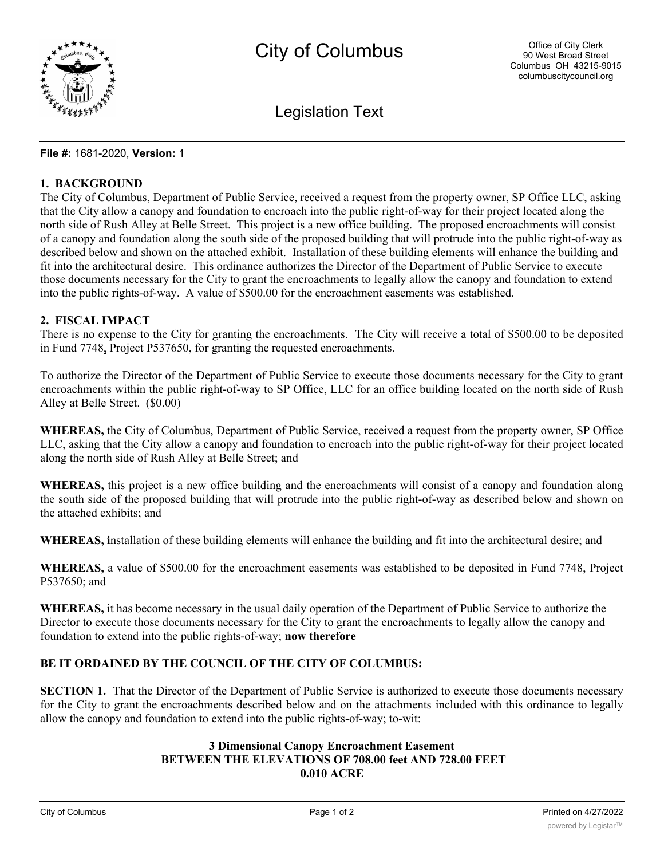

Legislation Text

#### **File #:** 1681-2020, **Version:** 1

### **1. BACKGROUND**

The City of Columbus, Department of Public Service, received a request from the property owner, SP Office LLC, asking that the City allow a canopy and foundation to encroach into the public right-of-way for their project located along the north side of Rush Alley at Belle Street. This project is a new office building. The proposed encroachments will consist of a canopy and foundation along the south side of the proposed building that will protrude into the public right-of-way as described below and shown on the attached exhibit. Installation of these building elements will enhance the building and fit into the architectural desire. This ordinance authorizes the Director of the Department of Public Service to execute those documents necessary for the City to grant the encroachments to legally allow the canopy and foundation to extend into the public rights-of-way. A value of \$500.00 for the encroachment easements was established.

#### **2. FISCAL IMPACT**

There is no expense to the City for granting the encroachments. The City will receive a total of \$500.00 to be deposited in Fund 7748, Project P537650, for granting the requested encroachments.

To authorize the Director of the Department of Public Service to execute those documents necessary for the City to grant encroachments within the public right-of-way to SP Office, LLC for an office building located on the north side of Rush Alley at Belle Street. (\$0.00)

**WHEREAS,** the City of Columbus, Department of Public Service, received a request from the property owner, SP Office LLC, asking that the City allow a canopy and foundation to encroach into the public right-of-way for their project located along the north side of Rush Alley at Belle Street; and

**WHEREAS,** this project is a new office building and the encroachments will consist of a canopy and foundation along the south side of the proposed building that will protrude into the public right-of-way as described below and shown on the attached exhibits; and

**WHEREAS, i**nstallation of these building elements will enhance the building and fit into the architectural desire; and

**WHEREAS,** a value of \$500.00 for the encroachment easements was established to be deposited in Fund 7748, Project P537650; and

**WHEREAS,** it has become necessary in the usual daily operation of the Department of Public Service to authorize the Director to execute those documents necessary for the City to grant the encroachments to legally allow the canopy and foundation to extend into the public rights-of-way; **now therefore**

# **BE IT ORDAINED BY THE COUNCIL OF THE CITY OF COLUMBUS:**

**SECTION 1.** That the Director of the Department of Public Service is authorized to execute those documents necessary for the City to grant the encroachments described below and on the attachments included with this ordinance to legally allow the canopy and foundation to extend into the public rights-of-way; to-wit:

# **3 Dimensional Canopy Encroachment Easement BETWEEN THE ELEVATIONS OF 708.00 feet AND 728.00 FEET 0.010 ACRE**